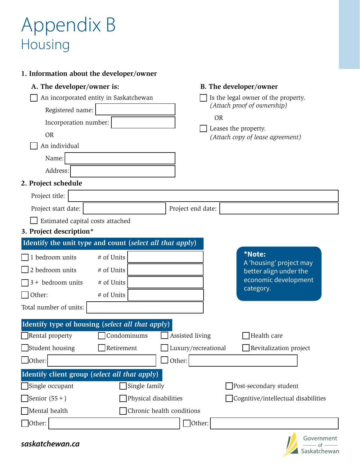## Appendix B Housing

## **1. Information about the developer/owner**

| A. The developer/owner is:                               |                   |  |                           |                                     | B. The developer/owner                                   |  |
|----------------------------------------------------------|-------------------|--|---------------------------|-------------------------------------|----------------------------------------------------------|--|
| An incorporated entity in Saskatchewan                   |                   |  |                           | Is the legal owner of the property. |                                                          |  |
| Registered name:                                         |                   |  |                           |                                     | (Attach proof of ownership)                              |  |
| Incorporation number:                                    |                   |  |                           | <b>OR</b>                           |                                                          |  |
| <b>OR</b>                                                |                   |  |                           |                                     | Leases the property.<br>(Attach copy of lease agreement) |  |
| An individual                                            |                   |  |                           |                                     |                                                          |  |
| Name:                                                    |                   |  |                           |                                     |                                                          |  |
| Address:                                                 |                   |  |                           |                                     |                                                          |  |
| 2. Project schedule                                      |                   |  |                           |                                     |                                                          |  |
| Project title:                                           |                   |  |                           |                                     |                                                          |  |
| Project start date:                                      |                   |  | Project end date:         |                                     |                                                          |  |
| Estimated capital costs attached                         |                   |  |                           |                                     |                                                          |  |
| 3. Project description*                                  |                   |  |                           |                                     |                                                          |  |
| Identify the unit type and count (select all that apply) |                   |  |                           |                                     |                                                          |  |
| 1 bedroom units                                          | # of Units        |  |                           |                                     | *Note:                                                   |  |
| 2 bedroom units                                          | # of Units        |  |                           |                                     | A 'housing' project may<br>better align under the        |  |
| $\sqrt{3}$ + bedroom units                               | # of Units        |  |                           |                                     | economic development                                     |  |
| $\Box$ Other:                                            | # of Units        |  |                           |                                     | category.                                                |  |
| Total number of units:                                   |                   |  |                           |                                     |                                                          |  |
| Identify type of housing (select all that apply)         |                   |  |                           |                                     |                                                          |  |
| Rental property                                          | Condominums       |  | Assisted living           |                                     | Health care                                              |  |
| $\Box$ Student housing                                   | $\Box$ Retirement |  | Luxury/recreational       |                                     | Revitalization project                                   |  |
| $\Box$ Other:                                            |                   |  | Other:                    |                                     |                                                          |  |
| Identify client group (select all that apply)            |                   |  |                           |                                     |                                                          |  |
| Single occupant<br>Single family                         |                   |  |                           |                                     | Post-secondary student                                   |  |
| Senior $(55+)$<br>Physical disabilities                  |                   |  |                           |                                     | Cognitive/intellectual disabilities                      |  |
| Mental health                                            |                   |  | Chronic health conditions |                                     |                                                          |  |
| $\Box$ Other:                                            |                   |  | $\Box$ Other:             |                                     |                                                          |  |
|                                                          |                   |  |                           |                                     |                                                          |  |

*saskatchewan.ca*